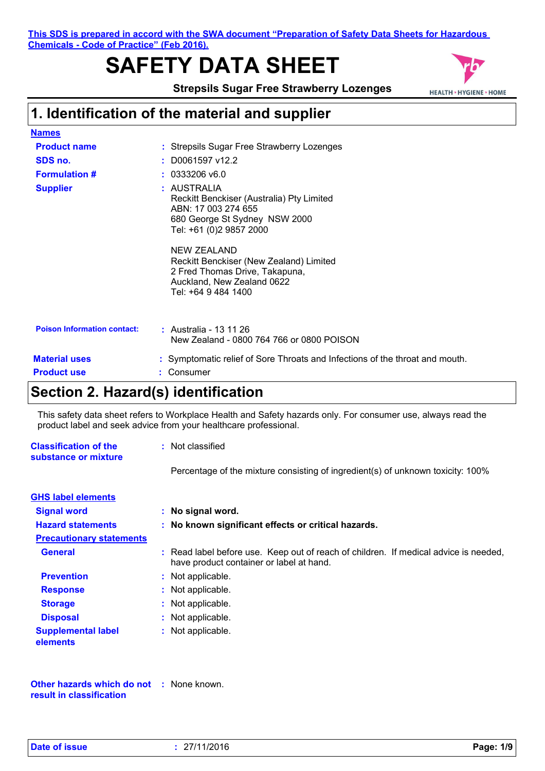**This SDS is prepared in accord with the SWA document "Preparation of Safety Data Sheets for Hazardous Chemicals - Code of Practice" (Feb 2016).**

# **SAFETY DATA SHEET**



**Strepsils Sugar Free Strawberry Lozenges**

# **1. Identification of the material and supplier**

| <b>Names</b>                       |                                                                                                                                                                                                                                                                                                     |
|------------------------------------|-----------------------------------------------------------------------------------------------------------------------------------------------------------------------------------------------------------------------------------------------------------------------------------------------------|
| <b>Product name</b>                | : Strepsils Sugar Free Strawberry Lozenges                                                                                                                                                                                                                                                          |
| SDS no.                            | $:$ D0061597 v12.2                                                                                                                                                                                                                                                                                  |
| <b>Formulation #</b>               | $: 0333206$ v6.0                                                                                                                                                                                                                                                                                    |
| <b>Supplier</b>                    | : AUSTRALIA<br>Reckitt Benckiser (Australia) Pty Limited<br>ABN: 17 003 274 655<br>680 George St Sydney NSW 2000<br>Tel: +61 (0)2 9857 2000<br><b>NEW ZEALAND</b><br>Reckitt Benckiser (New Zealand) Limited<br>2 Fred Thomas Drive, Takapuna,<br>Auckland, New Zealand 0622<br>Tel: +64 9 484 1400 |
| <b>Poison Information contact:</b> | : Australia - 13 11 26<br>New Zealand - 0800 764 766 or 0800 POISON                                                                                                                                                                                                                                 |
| <b>Material uses</b>               | : Symptomatic relief of Sore Throats and Infections of the throat and mouth.                                                                                                                                                                                                                        |
| <b>Product use</b>                 | Consumer                                                                                                                                                                                                                                                                                            |

## **Section 2. Hazard(s) identification**

This safety data sheet refers to Workplace Health and Safety hazards only. For consumer use, always read the product label and seek advice from your healthcare professional.

| <b>Classification of the</b><br>substance or mixture | : Not classified                                                                                                                 |  |  |
|------------------------------------------------------|----------------------------------------------------------------------------------------------------------------------------------|--|--|
|                                                      | Percentage of the mixture consisting of ingredient(s) of unknown toxicity: 100%                                                  |  |  |
| <b>GHS label elements</b>                            |                                                                                                                                  |  |  |
| <b>Signal word</b>                                   | : No signal word.                                                                                                                |  |  |
| <b>Hazard statements</b>                             | : No known significant effects or critical hazards.                                                                              |  |  |
| <b>Precautionary statements</b>                      |                                                                                                                                  |  |  |
| <b>General</b>                                       | : Read label before use. Keep out of reach of children. If medical advice is needed,<br>have product container or label at hand. |  |  |
| <b>Prevention</b>                                    | : Not applicable.                                                                                                                |  |  |
| <b>Response</b>                                      | : Not applicable.                                                                                                                |  |  |
| <b>Storage</b>                                       | : Not applicable.                                                                                                                |  |  |
| <b>Disposal</b>                                      | : Not applicable.                                                                                                                |  |  |
| <b>Supplemental label</b><br>elements                | : Not applicable.                                                                                                                |  |  |

**Other hazards which do not :** None known. **result in classification**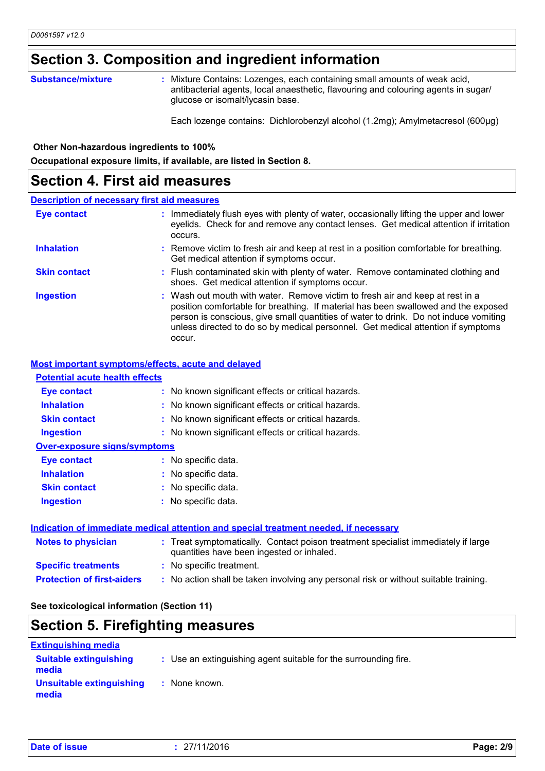## **Section 3. Composition and ingredient information**

#### **Substance/mixture :**

: Mixture Contains: Lozenges, each containing small amounts of weak acid, antibacterial agents, local anaesthetic, flavouring and colouring agents in sugar/ glucose or isomalt/lycasin base.

Each lozenge contains: Dichlorobenzyl alcohol (1.2mg); Amylmetacresol (600µg)

 **Other Non-hazardous ingredients to 100%**

**Occupational exposure limits, if available, are listed in Section 8.**

### **Section 4. First aid measures**

### **Description of necessary first aid measures**

| <b>Eye contact</b>  | : Immediately flush eyes with plenty of water, occasionally lifting the upper and lower<br>eyelids. Check for and remove any contact lenses. Get medical attention if irritation<br>occurs.                                                                                                                                                               |
|---------------------|-----------------------------------------------------------------------------------------------------------------------------------------------------------------------------------------------------------------------------------------------------------------------------------------------------------------------------------------------------------|
| <b>Inhalation</b>   | : Remove victim to fresh air and keep at rest in a position comfortable for breathing.<br>Get medical attention if symptoms occur.                                                                                                                                                                                                                        |
| <b>Skin contact</b> | : Flush contaminated skin with plenty of water. Remove contaminated clothing and<br>shoes. Get medical attention if symptoms occur.                                                                                                                                                                                                                       |
| <b>Ingestion</b>    | : Wash out mouth with water. Remove victim to fresh air and keep at rest in a<br>position comfortable for breathing. If material has been swallowed and the exposed<br>person is conscious, give small quantities of water to drink. Do not induce vomiting<br>unless directed to do so by medical personnel. Get medical attention if symptoms<br>occur. |

### **Most important symptoms/effects, acute and delayed**

| <b>Potential acute health effects</b> |                                                                                                                                |
|---------------------------------------|--------------------------------------------------------------------------------------------------------------------------------|
| <b>Eye contact</b>                    | : No known significant effects or critical hazards.                                                                            |
| <b>Inhalation</b>                     | : No known significant effects or critical hazards.                                                                            |
| <b>Skin contact</b>                   | : No known significant effects or critical hazards.                                                                            |
| <b>Ingestion</b>                      | : No known significant effects or critical hazards.                                                                            |
| <b>Over-exposure signs/symptoms</b>   |                                                                                                                                |
| <b>Eye contact</b>                    | : No specific data.                                                                                                            |
| <b>Inhalation</b>                     | : No specific data.                                                                                                            |
| <b>Skin contact</b>                   | : No specific data.                                                                                                            |
| <b>Ingestion</b>                      | : No specific data.                                                                                                            |
|                                       | Indication of immediate medical attention and special treatment needed, if necessary                                           |
| <b>Notes to physician</b>             | : Treat symptomatically. Contact poison treatment specialist immediately if large<br>quantities have been ingested or inhaled. |
| <b>Specific treatments</b>            | : No specific treatment.                                                                                                       |

**Protection of first-aiders :** No action shall be taken involving any personal risk or without suitable training.

### **See toxicological information (Section 11)**

## **Section 5. Firefighting measures**

| <b>Extinguishing media</b>             |                                                                 |
|----------------------------------------|-----------------------------------------------------------------|
| <b>Suitable extinguishing</b><br>media | : Use an extinguishing agent suitable for the surrounding fire. |
| Unsuitable extinguishing<br>media      | : None known.                                                   |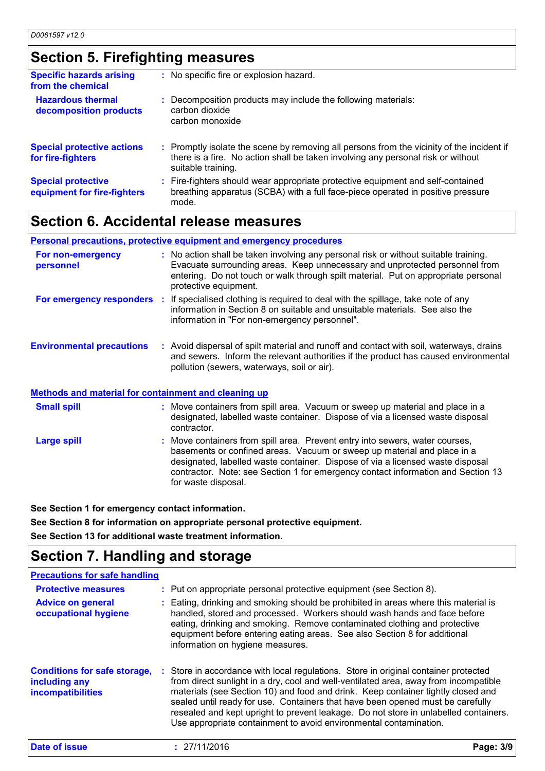# **Section 5. Firefighting measures**

| <b>Specific hazards arising</b><br>from the chemical     | : No specific fire or explosion hazard.                                                                                                                                                             |
|----------------------------------------------------------|-----------------------------------------------------------------------------------------------------------------------------------------------------------------------------------------------------|
| <b>Hazardous thermal</b><br>decomposition products       | : Decomposition products may include the following materials:<br>carbon dioxide<br>carbon monoxide                                                                                                  |
| <b>Special protective actions</b><br>for fire-fighters   | : Promptly isolate the scene by removing all persons from the vicinity of the incident if<br>there is a fire. No action shall be taken involving any personal risk or without<br>suitable training. |
| <b>Special protective</b><br>equipment for fire-fighters | : Fire-fighters should wear appropriate protective equipment and self-contained<br>breathing apparatus (SCBA) with a full face-piece operated in positive pressure<br>mode.                         |

## **Section 6. Accidental release measures**

|                                                      | <b>Personal precautions, protective equipment and emergency procedures</b>                                                                                                                                                                                                         |
|------------------------------------------------------|------------------------------------------------------------------------------------------------------------------------------------------------------------------------------------------------------------------------------------------------------------------------------------|
| For non-emergency<br>personnel                       | : No action shall be taken involving any personal risk or without suitable training.<br>Evacuate surrounding areas. Keep unnecessary and unprotected personnel from<br>entering. Do not touch or walk through spilt material. Put on appropriate personal<br>protective equipment. |
| For emergency responders                             | : If specialised clothing is required to deal with the spillage, take note of any<br>information in Section 8 on suitable and unsuitable materials. See also the<br>information in "For non-emergency personnel".                                                                  |
| <b>Environmental precautions</b>                     | : Avoid dispersal of spilt material and runoff and contact with soil, waterways, drains<br>and sewers. Inform the relevant authorities if the product has caused environmental<br>pollution (sewers, waterways, soil or air).                                                      |
| Methods and material for containment and cleaning up |                                                                                                                                                                                                                                                                                    |

| <b>Small spill</b> | : Move containers from spill area. Vacuum or sweep up material and place in a<br>designated, labelled waste container. Dispose of via a licensed waste disposal<br>contractor.                                                                                                                                                                       |
|--------------------|------------------------------------------------------------------------------------------------------------------------------------------------------------------------------------------------------------------------------------------------------------------------------------------------------------------------------------------------------|
| <b>Large spill</b> | : Move containers from spill area. Prevent entry into sewers, water courses,<br>basements or confined areas. Vacuum or sweep up material and place in a<br>designated, labelled waste container. Dispose of via a licensed waste disposal<br>contractor. Note: see Section 1 for emergency contact information and Section 13<br>for waste disposal. |

**See Section 1 for emergency contact information.**

**See Section 8 for information on appropriate personal protective equipment. See Section 13 for additional waste treatment information.**

# **Section 7. Handling and storage**

| <b>Precautions for safe handling</b>                                             |                                                                                                                                                                                                                                                                                                                                                                                                                                                                                                                |           |
|----------------------------------------------------------------------------------|----------------------------------------------------------------------------------------------------------------------------------------------------------------------------------------------------------------------------------------------------------------------------------------------------------------------------------------------------------------------------------------------------------------------------------------------------------------------------------------------------------------|-----------|
| <b>Protective measures</b>                                                       | : Put on appropriate personal protective equipment (see Section 8).                                                                                                                                                                                                                                                                                                                                                                                                                                            |           |
| <b>Advice on general</b><br>occupational hygiene                                 | : Eating, drinking and smoking should be prohibited in areas where this material is<br>handled, stored and processed. Workers should wash hands and face before<br>eating, drinking and smoking. Remove contaminated clothing and protective<br>equipment before entering eating areas. See also Section 8 for additional<br>information on hygiene measures.                                                                                                                                                  |           |
| <b>Conditions for safe storage,</b><br>including any<br><b>incompatibilities</b> | : Store in accordance with local regulations. Store in original container protected<br>from direct sunlight in a dry, cool and well-ventilated area, away from incompatible<br>materials (see Section 10) and food and drink. Keep container tightly closed and<br>sealed until ready for use. Containers that have been opened must be carefully<br>resealed and kept upright to prevent leakage. Do not store in unlabelled containers.<br>Use appropriate containment to avoid environmental contamination. |           |
| Date of issue                                                                    | : 27/11/2016                                                                                                                                                                                                                                                                                                                                                                                                                                                                                                   | Page: 3/9 |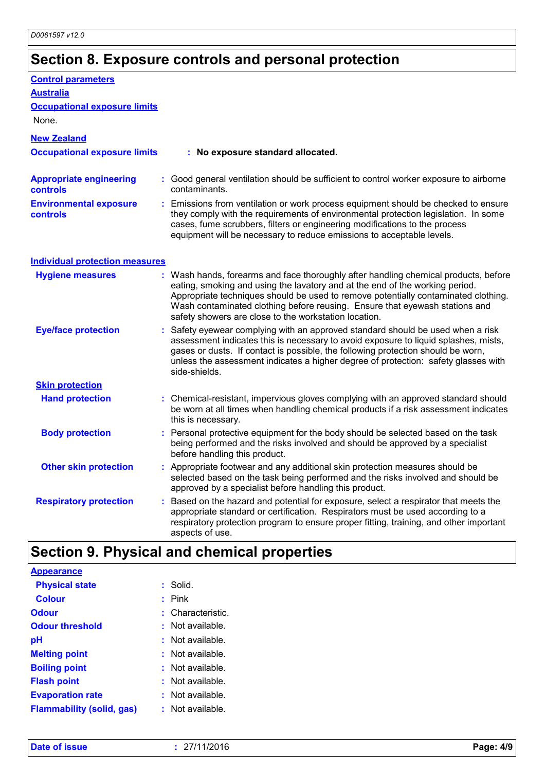# **Section 8. Exposure controls and personal protection**

| <b>Control parameters</b>                         |                                                                                                                                                                                                                                                                                                                                                                                                   |
|---------------------------------------------------|---------------------------------------------------------------------------------------------------------------------------------------------------------------------------------------------------------------------------------------------------------------------------------------------------------------------------------------------------------------------------------------------------|
| <b>Australia</b>                                  |                                                                                                                                                                                                                                                                                                                                                                                                   |
| <b>Occupational exposure limits</b>               |                                                                                                                                                                                                                                                                                                                                                                                                   |
| None.                                             |                                                                                                                                                                                                                                                                                                                                                                                                   |
| <b>New Zealand</b>                                |                                                                                                                                                                                                                                                                                                                                                                                                   |
| <b>Occupational exposure limits</b>               | : No exposure standard allocated.                                                                                                                                                                                                                                                                                                                                                                 |
| <b>Appropriate engineering</b><br><b>controls</b> | : Good general ventilation should be sufficient to control worker exposure to airborne<br>contaminants.                                                                                                                                                                                                                                                                                           |
| <b>Environmental exposure</b><br>controls         | : Emissions from ventilation or work process equipment should be checked to ensure<br>they comply with the requirements of environmental protection legislation. In some<br>cases, fume scrubbers, filters or engineering modifications to the process<br>equipment will be necessary to reduce emissions to acceptable levels.                                                                   |
| <b>Individual protection measures</b>             |                                                                                                                                                                                                                                                                                                                                                                                                   |
| <b>Hygiene measures</b>                           | : Wash hands, forearms and face thoroughly after handling chemical products, before<br>eating, smoking and using the lavatory and at the end of the working period.<br>Appropriate techniques should be used to remove potentially contaminated clothing.<br>Wash contaminated clothing before reusing. Ensure that eyewash stations and<br>safety showers are close to the workstation location. |
| <b>Eye/face protection</b>                        | : Safety eyewear complying with an approved standard should be used when a risk<br>assessment indicates this is necessary to avoid exposure to liquid splashes, mists,<br>gases or dusts. If contact is possible, the following protection should be worn,<br>unless the assessment indicates a higher degree of protection: safety glasses with<br>side-shields.                                 |
| <b>Skin protection</b>                            |                                                                                                                                                                                                                                                                                                                                                                                                   |
| <b>Hand protection</b>                            | Chemical-resistant, impervious gloves complying with an approved standard should<br>be worn at all times when handling chemical products if a risk assessment indicates<br>this is necessary.                                                                                                                                                                                                     |
| <b>Body protection</b>                            | : Personal protective equipment for the body should be selected based on the task<br>being performed and the risks involved and should be approved by a specialist<br>before handling this product.                                                                                                                                                                                               |
| <b>Other skin protection</b>                      | : Appropriate footwear and any additional skin protection measures should be<br>selected based on the task being performed and the risks involved and should be<br>approved by a specialist before handling this product.                                                                                                                                                                         |
| <b>Respiratory protection</b>                     | : Based on the hazard and potential for exposure, select a respirator that meets the<br>appropriate standard or certification. Respirators must be used according to a<br>respiratory protection program to ensure proper fitting, training, and other important<br>aspects of use.                                                                                                               |
|                                                   |                                                                                                                                                                                                                                                                                                                                                                                                   |

# **Section 9. Physical and chemical properties**

| Appearance                       |    |                    |
|----------------------------------|----|--------------------|
| <b>Physical state</b>            |    | $:$ Solid.         |
| <b>Colour</b>                    |    | Pink               |
| <b>Odour</b>                     |    | Characteristic.    |
| <b>Odour threshold</b>           | м. | Not available.     |
| рH                               | t. | Not available.     |
| <b>Melting point</b>             |    | $:$ Not available. |
| <b>Boiling point</b>             | t. | Not available.     |
| <b>Flash point</b>               |    | Not available.     |
| <b>Evaporation rate</b>          |    | $:$ Not available. |
| <b>Flammability (solid, gas)</b> |    | Not available.     |
|                                  |    |                    |

**Appearance**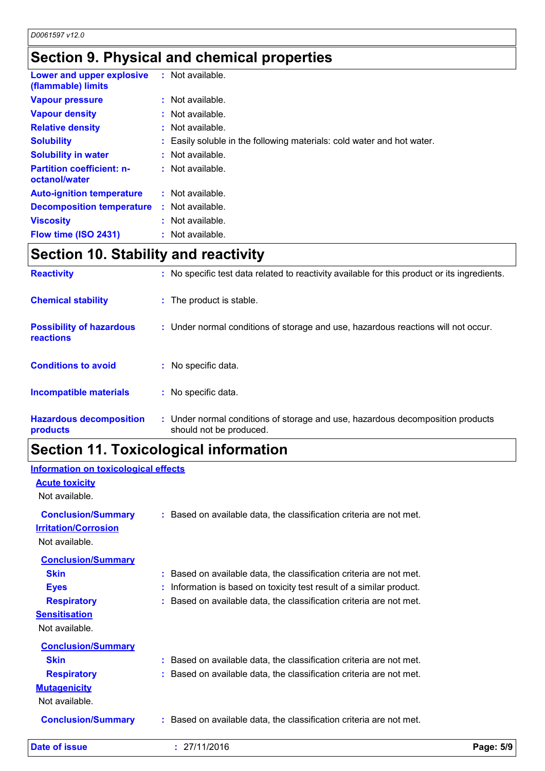# **Section 9. Physical and chemical properties**

| Lower and upper explosive<br>(flammable) limits   | $:$ Not available.                                                     |
|---------------------------------------------------|------------------------------------------------------------------------|
| <b>Vapour pressure</b>                            | $:$ Not available.                                                     |
| <b>Vapour density</b>                             | : Not available.                                                       |
| <b>Relative density</b>                           | $:$ Not available.                                                     |
| <b>Solubility</b>                                 | : Easily soluble in the following materials: cold water and hot water. |
| <b>Solubility in water</b>                        | : Not available.                                                       |
| <b>Partition coefficient: n-</b><br>octanol/water | $:$ Not available.                                                     |
| <b>Auto-ignition temperature</b>                  | $:$ Not available.                                                     |
| <b>Decomposition temperature</b>                  | $:$ Not available.                                                     |
| <b>Viscosity</b>                                  | : Not available.                                                       |
| Flow time (ISO 2431)                              | : Not available.                                                       |

## **Section 10. Stability and reactivity**

| <b>Hazardous decomposition</b><br>products          | : Under normal conditions of storage and use, hazardous decomposition products<br>should not be produced. |
|-----------------------------------------------------|-----------------------------------------------------------------------------------------------------------|
| Incompatible materials                              | : No specific data.                                                                                       |
| <b>Conditions to avoid</b>                          | : No specific data.                                                                                       |
| <b>Possibility of hazardous</b><br><b>reactions</b> | : Under normal conditions of storage and use, hazardous reactions will not occur.                         |
| <b>Chemical stability</b>                           | : The product is stable.                                                                                  |
| <b>Reactivity</b>                                   | : No specific test data related to reactivity available for this product or its ingredients.              |

## **Section 11. Toxicological information**

### **Information on toxicological effects**

| <b>Date of issue</b>                        | : 27/11/2016                                                        | Page: 5/9 |
|---------------------------------------------|---------------------------------------------------------------------|-----------|
| <b>Conclusion/Summary</b>                   | : Based on available data, the classification criteria are not met. |           |
| <b>Mutagenicity</b><br>Not available.       |                                                                     |           |
| <b>Respiratory</b>                          | Based on available data, the classification criteria are not met.   |           |
|                                             |                                                                     |           |
| <b>Conclusion/Summary</b><br><b>Skin</b>    | : Based on available data, the classification criteria are not met. |           |
| <b>Sensitisation</b><br>Not available.      |                                                                     |           |
| <b>Respiratory</b>                          | Based on available data, the classification criteria are not met.   |           |
| <b>Eyes</b>                                 | Information is based on toxicity test result of a similar product.  |           |
| <b>Skin</b>                                 | : Based on available data, the classification criteria are not met. |           |
| Not available.<br><b>Conclusion/Summary</b> |                                                                     |           |
| <b>Irritation/Corrosion</b>                 |                                                                     |           |
| <b>Conclusion/Summary</b>                   | : Based on available data, the classification criteria are not met. |           |
| <b>Acute toxicity</b><br>Not available.     |                                                                     |           |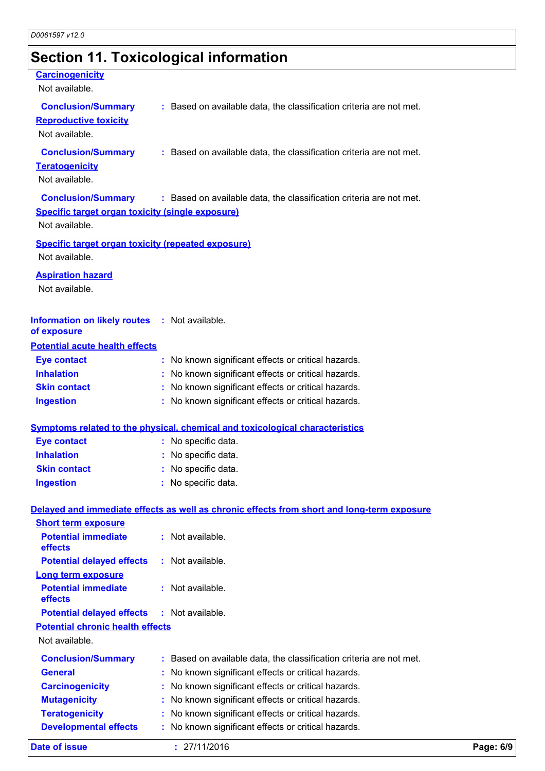# **Section 11. Toxicological information**

| <b>Carcinogenicity</b><br>Not available.                                    |                                                                                            |  |
|-----------------------------------------------------------------------------|--------------------------------------------------------------------------------------------|--|
| <b>Conclusion/Summary</b>                                                   | : Based on available data, the classification criteria are not met.                        |  |
| <b>Reproductive toxicity</b>                                                |                                                                                            |  |
| Not available.                                                              |                                                                                            |  |
| <b>Conclusion/Summary</b>                                                   | : Based on available data, the classification criteria are not met.                        |  |
| <b>Teratogenicity</b>                                                       |                                                                                            |  |
| Not available.                                                              |                                                                                            |  |
| <b>Conclusion/Summary</b>                                                   | : Based on available data, the classification criteria are not met.                        |  |
| <b>Specific target organ toxicity (single exposure)</b>                     |                                                                                            |  |
| Not available.                                                              |                                                                                            |  |
| <b>Specific target organ toxicity (repeated exposure)</b><br>Not available. |                                                                                            |  |
|                                                                             |                                                                                            |  |
| <b>Aspiration hazard</b><br>Not available.                                  |                                                                                            |  |
|                                                                             |                                                                                            |  |
| Information on likely routes : Not available.                               |                                                                                            |  |
| of exposure                                                                 |                                                                                            |  |
| <b>Potential acute health effects</b>                                       |                                                                                            |  |
| <b>Eye contact</b>                                                          | : No known significant effects or critical hazards.                                        |  |
| <b>Inhalation</b>                                                           | No known significant effects or critical hazards.                                          |  |
| <b>Skin contact</b>                                                         | No known significant effects or critical hazards.                                          |  |
| <b>Ingestion</b>                                                            | : No known significant effects or critical hazards.                                        |  |
|                                                                             | <b>Symptoms related to the physical, chemical and toxicological characteristics</b>        |  |
| <b>Eye contact</b>                                                          | : No specific data.                                                                        |  |
| <b>Inhalation</b>                                                           | : No specific data.                                                                        |  |
| <b>Skin contact</b>                                                         | : No specific data.                                                                        |  |
| <b>Ingestion</b>                                                            | : No specific data.                                                                        |  |
|                                                                             | Delayed and immediate effects as well as chronic effects from short and long-term exposure |  |
| <b>Short term exposure</b>                                                  |                                                                                            |  |
| <b>Potential immediate</b><br>effects                                       | : Not available.                                                                           |  |
| <b>Potential delayed effects</b>                                            | : Not available.                                                                           |  |
| <b>Long term exposure</b>                                                   |                                                                                            |  |
| <b>Potential immediate</b><br>effects                                       | Not available.                                                                             |  |
| <b>Potential delayed effects</b>                                            | : Not available.                                                                           |  |
| <b>Potential chronic health effects</b>                                     |                                                                                            |  |
| Not available.                                                              |                                                                                            |  |
| <b>Conclusion/Summary</b>                                                   | Based on available data, the classification criteria are not met.                          |  |
| <b>General</b>                                                              | No known significant effects or critical hazards.                                          |  |
| <b>Carcinogenicity</b>                                                      | No known significant effects or critical hazards.                                          |  |
| <b>Mutagenicity</b>                                                         | No known significant effects or critical hazards.                                          |  |
| <b>Teratogenicity</b>                                                       | No known significant effects or critical hazards.                                          |  |
| <b>Developmental effects</b>                                                | No known significant effects or critical hazards.                                          |  |

**Date of issue :** 27/11/2016 **Page: 6/9**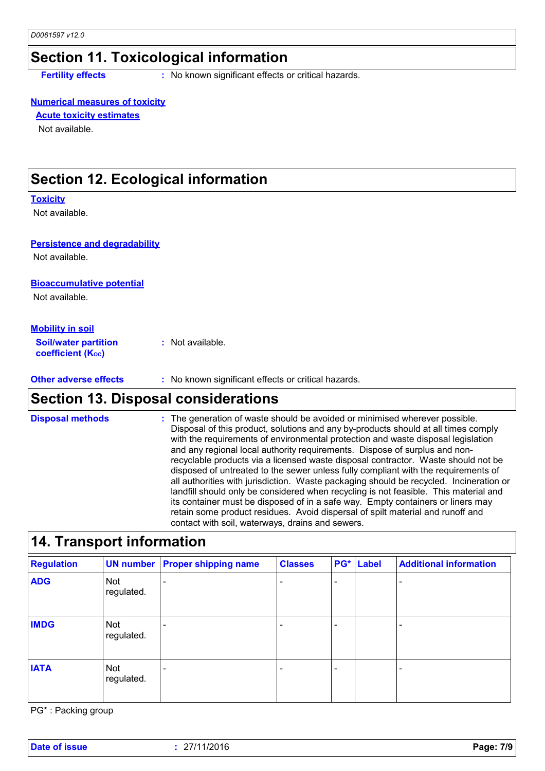## **Section 11. Toxicological information**

**Fertility effects** : No known significant effects or critical hazards.

### **Numerical measures of toxicity**

### **Acute toxicity estimates**

Not available.

## **Section 12. Ecological information**

#### **Toxicity**

Not available.

### **Persistence and degradability**

Not available.

### **Bioaccumulative potential**

Not available.

### **Mobility in soil**

**Soil/water partition coefficient (Koc) :** Not available.

### **Other adverse effects** : No known significant effects or critical hazards.

## **Section 13. Disposal considerations**

The generation of waste should be avoided or minimised wherever possible. Disposal of this product, solutions and any by-products should at all times comply with the requirements of environmental protection and waste disposal legislation and any regional local authority requirements. Dispose of surplus and nonrecyclable products via a licensed waste disposal contractor. Waste should not be disposed of untreated to the sewer unless fully compliant with the requirements of all authorities with jurisdiction. Waste packaging should be recycled. Incineration or landfill should only be considered when recycling is not feasible. This material and its container must be disposed of in a safe way. Empty containers or liners may retain some product residues. Avoid dispersal of spilt material and runoff and contact with soil, waterways, drains and sewers. **Disposal methods :**

### **14. Transport information**

| <b>Regulation</b> |                          | <b>UN number Proper shipping name</b> | <b>Classes</b> | PG* | Label | <b>Additional information</b> |
|-------------------|--------------------------|---------------------------------------|----------------|-----|-------|-------------------------------|
| <b>ADG</b>        | <b>Not</b><br>regulated. |                                       |                | ۰   |       |                               |
| <b>IMDG</b>       | Not<br>regulated.        |                                       |                |     |       |                               |
| <b>IATA</b>       | Not<br>regulated.        |                                       |                | ۰   |       |                               |

PG\* : Packing group

**Date of issue :** 27/11/2016 **Page: 7/9**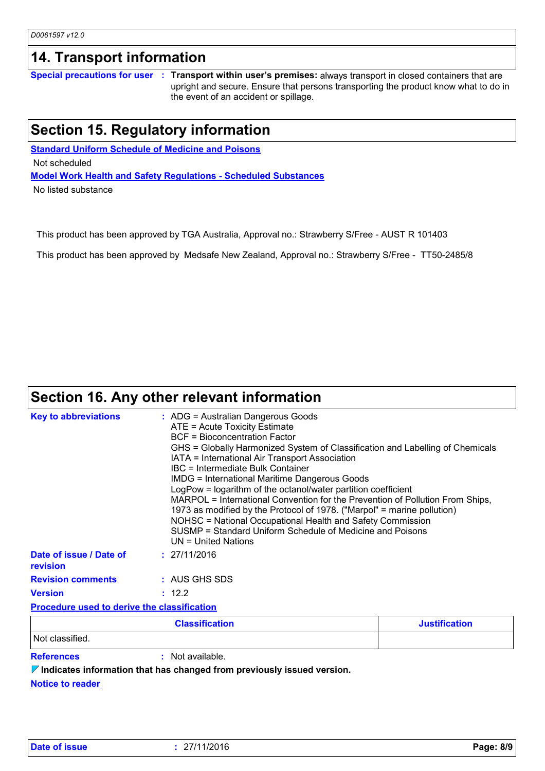## **14. Transport information**

**Special precautions for user Transport within user's premises:** always transport in closed containers that are **:** upright and secure. Ensure that persons transporting the product know what to do in the event of an accident or spillage.

## **Section 15. Regulatory information**

**Standard Uniform Schedule of Medicine and Poisons Model Work Health and Safety Regulations - Scheduled Substances** Not scheduled

No listed substance

This product has been approved by TGA Australia, Approval no.: Strawberry S/Free - AUST R 101403

This product has been approved by Medsafe New Zealand, Approval no.: Strawberry S/Free - TT50-2485/8

## **Section 16. Any other relevant information**

| <b>Key to abbreviations</b>                        | $:$ ADG = Australian Dangerous Goods<br>ATE = Acute Toxicity Estimate<br><b>BCF</b> = Bioconcentration Factor<br>IATA = International Air Transport Association<br>IBC = Intermediate Bulk Container<br><b>IMDG = International Maritime Dangerous Goods</b><br>UN = United Nations | GHS = Globally Harmonized System of Classification and Labelling of Chemicals<br>LogPow = logarithm of the octanol/water partition coefficient<br>MARPOL = International Convention for the Prevention of Pollution From Ships,<br>1973 as modified by the Protocol of 1978. ("Marpol" = marine pollution)<br>NOHSC = National Occupational Health and Safety Commission<br>SUSMP = Standard Uniform Schedule of Medicine and Poisons |  |  |
|----------------------------------------------------|-------------------------------------------------------------------------------------------------------------------------------------------------------------------------------------------------------------------------------------------------------------------------------------|---------------------------------------------------------------------------------------------------------------------------------------------------------------------------------------------------------------------------------------------------------------------------------------------------------------------------------------------------------------------------------------------------------------------------------------|--|--|
| Date of issue / Date of<br>revision                | : 27/11/2016                                                                                                                                                                                                                                                                        |                                                                                                                                                                                                                                                                                                                                                                                                                                       |  |  |
| <b>Revision comments</b>                           | : AUS GHS SDS                                                                                                                                                                                                                                                                       |                                                                                                                                                                                                                                                                                                                                                                                                                                       |  |  |
| <b>Version</b>                                     | : 12.2                                                                                                                                                                                                                                                                              |                                                                                                                                                                                                                                                                                                                                                                                                                                       |  |  |
| <b>Procedure used to derive the classification</b> |                                                                                                                                                                                                                                                                                     |                                                                                                                                                                                                                                                                                                                                                                                                                                       |  |  |
|                                                    | <b>Classification</b>                                                                                                                                                                                                                                                               | <b>Justification</b>                                                                                                                                                                                                                                                                                                                                                                                                                  |  |  |
| Not classified.                                    |                                                                                                                                                                                                                                                                                     |                                                                                                                                                                                                                                                                                                                                                                                                                                       |  |  |

**References :** Not available.

**Indicates information that has changed from previously issued version.**

**Notice to reader**